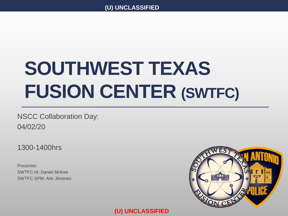# **SOUTHWEST TEXAS FUSION CENTER (SWTFC)**

NSCC Collaboration Day: 04/02/20

1300-1400hrs

Presenter: SWTFC IA: Daniel McKee SWTFC SPM: Aric Jimenez

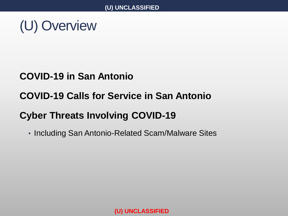(U) Overview

### **COVID-19 in San Antonio**

### **COVID-19 Calls for Service in San Antonio**

### **Cyber Threats Involving COVID-19**

• Including San Antonio-Related Scam/Malware Sites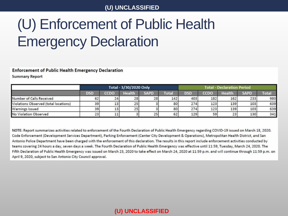## (U) Enforcement of Public Health Emergency Declaration

#### **Enforcement of Public Health Emergency Declaration**

**Summary Report** 

|                                       |            | Total - 3/30/2020 Only |                 |             |              | <b>Total - Declaration Period</b> |      |               |             |       |
|---------------------------------------|------------|------------------------|-----------------|-------------|--------------|-----------------------------------|------|---------------|-------------|-------|
|                                       | <b>DSD</b> | ccdo                   | <b>Health</b>   | <b>SAPD</b> | <b>Total</b> | <b>DSD</b>                        | CCDO | <b>Health</b> | <b>SAPD</b> | Total |
| Number of Calls Received              | 62         | 24                     | 28              | 28          | 142          | 403                               | 182  | 162           | 233         | 980   |
| Violations Observed (total locations) | 39         | 13                     | 25              |             | 80           | 274                               | 123  | 139           | 103         | 639   |
| Warnings Issued                       | 39         | 13 <sub>1</sub>        | 25 <sub>1</sub> |             | 80           | 274                               | 123  | 139           | 103         | 639   |
| No Violation Observed                 | 23         | TT.                    |                 | 25          | 62           | 129                               | 59   | 23            | 130         | 341   |

NOTE: Report summarizes activities related to enforcement of the Fourth Declaration of Public Health Emergency regarding COVID-19 issued on March 18, 2020. Code Enforcement (Development Services Department), Parking Enforcement (Center City Development & Operations), Metropolitan Health District, and San Antonio Police Department have been charged with the enforcement of this declaration. The results in this report include enforcement activities conducted by teams covering 24 hours a day, seven days a week. The Fourth Declaration of Public Health Emergency was effective until 11:59, Tuesday, March 24, 2020. The Fifth Declaration of Public Health Emergency was issued on March 23, 2020 to take effect on March 24, 2020 at 11:59 p.m. and will continue through 11:59 p.m. on April 9, 2020, subject to San Antonio City Council approval.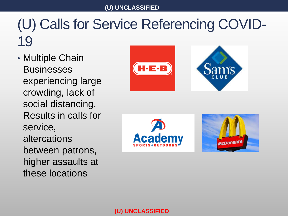### (U) Calls for Service Referencing COVID-19

• Multiple Chain **Businesses** experiencing large crowding, lack of social distancing. Results in calls for service, altercations between patrons, higher assaults at these locations



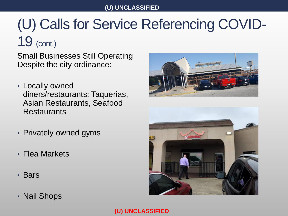### (U) Calls for Service Referencing COVID-19 (cont.)

Small Businesses Still Operating Despite the city ordinance:

- Locally owned diners/restaurants: Taquerias, Asian Restaurants, Seafood **Restaurants**
- Privately owned gyms
- Flea Markets
- Bars
- Nail Shops



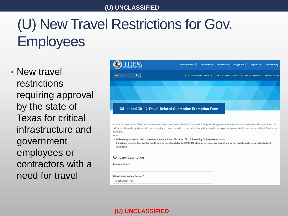## (U) New Travel Restrictions for Gov. **Employees**

• New travel restrictions requiring approval by the state of Texas for critical infrastructure and government employees or contractors with a need for travel

|                                                                   | Preparedness $\oplus$<br>Response $\oplus$<br>Recovery $\oplus$<br>Mitigation $\bigoplus$<br>Regions $\oplus$<br><b>Form Library</b>                                             |
|-------------------------------------------------------------------|----------------------------------------------------------------------------------------------------------------------------------------------------------------------------------|
| Q<br>Search                                                       | Local Official Resources About Us Contact Us Media Careers SOC Reports Texas EM Conference TEMAC                                                                                 |
|                                                                   |                                                                                                                                                                                  |
|                                                                   |                                                                                                                                                                                  |
|                                                                   |                                                                                                                                                                                  |
|                                                                   |                                                                                                                                                                                  |
|                                                                   | GA-11 and GA-12 Travel-Related Quarantine Exemption Form                                                                                                                         |
|                                                                   |                                                                                                                                                                                  |
|                                                                   |                                                                                                                                                                                  |
|                                                                   |                                                                                                                                                                                  |
|                                                                   | As required by Governor Abbott's Executive Orders GA-11 and GA-12, the Texas Division of Emergency Management will determine, on a case-by-case basis, whether the               |
|                                                                   | self-quarantine order applies to individuals traveling in connection with commercial activity, military service, emergency response, health response, or critical-infrastructure |
|                                                                   |                                                                                                                                                                                  |
|                                                                   | * Federal employees and their contractors are exempt from GA-11 and GA-12 if traveling for business purposes.                                                                    |
| exemption.                                                        | " Individuals traveling for essential health care services (unrelated to COVID-19) with a doctors note are exempt and do not need to apply for an individualized                 |
|                                                                   |                                                                                                                                                                                  |
|                                                                   |                                                                                                                                                                                  |
|                                                                   |                                                                                                                                                                                  |
| functions.<br><b>NOTE</b><br>Company Description<br>Company Name* |                                                                                                                                                                                  |
|                                                                   |                                                                                                                                                                                  |
| <b>Critical Infrastructure Sectors *</b>                          |                                                                                                                                                                                  |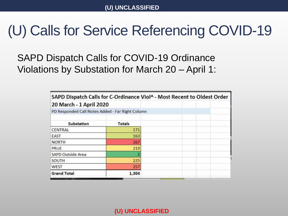### (U) Calls for Service Referencing COVID-19

SAPD Dispatch Calls for COVID-19 Ordinance Violations by Substation for March 20 – April 1:

| SAPD Dispatch Calls for C-Ordinance Viol^ - Most Recent to Oldest Order |               |  |
|-------------------------------------------------------------------------|---------------|--|
| 20 March - 1 April 2020                                                 |               |  |
| PD Responded Call Notes Added - Far Right Column                        |               |  |
| Substation                                                              | <b>Totals</b> |  |
| CENTRAL                                                                 | 171           |  |
| EAST                                                                    | 163           |  |
| <b>NORTH</b>                                                            | 267           |  |
| PRUE                                                                    | 219           |  |
| SAPD Outside Area                                                       |               |  |
| <b>SOUTH</b>                                                            | 225           |  |
| WEST                                                                    | 257           |  |
| <b>Grand Total</b>                                                      | 1,304         |  |
|                                                                         |               |  |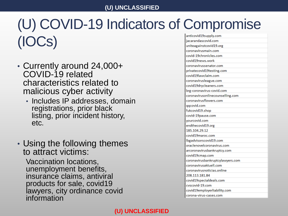### (U) COVID-19 Indicators of Compromise (IOCs)

- Currently around 24,000+ COVID-19 related characteristics related to malicious cyber activity
	- Includes IP addresses, domain registrations, prior black listing, prior incident history, etc.
- Using the following themes to attract victims:

Vaccination locations, unemployment benefits, insurance claims, antiviral products for sale, covid19 lawyers, city ordinance covid information

| anticovid19supply.com            |
|----------------------------------|
| jacarandascovid.com              |
| uniteagainstcovid19.org          |
| coronavirusmain.com              |
| covid-19chronicles.com           |
| covid19news.work                 |
| coronavirussenator.com           |
| privatecovid19testing.com        |
| covid19lawclaim.com              |
| coronavirusleague.com            |
| covid19drycleaners.com           |
| brg-coronavirus-covid.com        |
| coronavirusonlinecounselling.com |
| coronavirusflowers.com           |
| qqcovid.com                      |
| fukcovid19.shop                  |
| covid-19pause.com                |
| yourcovid.com                    |
| endthecovid19.org                |
| 185.104.29.12                    |
| covid19maroc.com                 |
| lbgadvisorscovid19.com           |
| oraclenovelcoronavirus.com       |
| arcoronavirusbankruptcy.com      |
| covid19cmap.com                  |
| coronavirusbankruptcylawyers.com |
| coronavirusaktuell.com           |
| coronavirusnoticias.online       |
| 208.113.181.84                   |
| covid19specialdeals.com          |
| cyscovid-19.com                  |
| covid19employerliability.com     |
| corona-virus-cases.com           |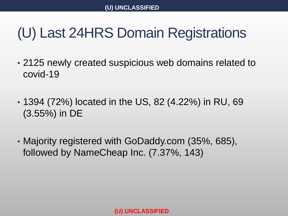### (U) Last 24HRS Domain Registrations

- 2125 newly created suspicious web domains related to covid-19
- 1394 (72%) located in the US, 82 (4.22%) in RU, 69 (3.55%) in DE
- Majority registered with GoDaddy.com (35%, 685), followed by NameCheap Inc. (7.37%, 143)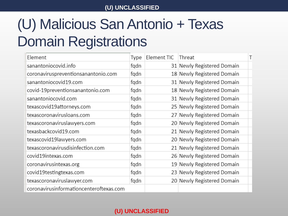## (U) Malicious San Antonio + Texas Domain Registrations

| Element                                 | Type | Element TIC | Threat                     |
|-----------------------------------------|------|-------------|----------------------------|
| sanantoniocovid.info                    | fqdn |             | 31 Newly Registered Domain |
| coronaviruspreventionsanantonio.com     | fqdn |             | 18 Newly Registered Domain |
| sanantoniocovid19.com                   | fqdn |             | 31 Newly Registered Domain |
| covid-19preventionsanantonio.com        | fqdn |             | 18 Newly Registered Domain |
| sanantoniocovid.com                     | fqdn |             | 31 Newly Registered Domain |
| texascovid19attorneys.com               | fqdn |             | 25 Newly Registered Domain |
| texascoronavirusloans.com               | fqdn |             | 27 Newly Registered Domain |
| texascoronaviruslawyers.com             | fqdn |             | 20 Newly Registered Domain |
| texasbackcovid19.com                    | fqdn |             | 21 Newly Registered Domain |
| texascovid19lawyers.com                 | fqdn |             | 20 Newly Registered Domain |
| texascoronavirusdisinfection.com        | fqdn |             | 21 Newly Registered Domain |
| covid19intexas.com                      | fqdn |             | 26 Newly Registered Domain |
| coronavirusintexas.org                  | fqdn |             | 19 Newly Registered Domain |
| covid19testingtexas.com                 | fqdn |             | 23 Newly Registered Domain |
| texascoronaviruslawyer.com              | fqdn |             | 20 Newly Registered Domain |
| coronavirusinformationcenteroftexas.com |      |             |                            |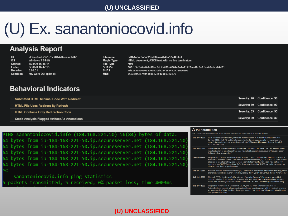## (U) Ex. sanantoniocovid.info

### **Analysis Report**

| - ID            | af3bce6ad5222b79c784420aeaa70d42 |
|-----------------|----------------------------------|
| 0 <sup>s</sup>  | Windows 7 64-bit                 |
| Started         | 3/31/20 16:36:14                 |
| Ended           | 3/31/20 16:42:15                 |
| <b>Duration</b> | 0.06.01                          |
|                 | Sandbox mtv-work-061 (pilot-d)   |

| -ilename      | cd1        |
|---------------|------------|
| Magic Type    | <b>HTM</b> |
| -ile Type     | html       |
| <b>SHA256</b> | 888        |
| SHA1          | 4d5        |
| MD5           | d58        |

b1a6ab5752316dd8ea2444ba52a4f.html ML document, ASCII text, with no line terminators fb3e2a0e046c88bc2dcfa679e6801e9a7a21429ae67c6e2feaf0edca84d31 28ae8b6e0e270057cd62841c5442778ec669c a04ed74044f81c7ef4e1b93eeb70

### **Behavioral Indicators**

| Submitted HTML Minimal Code With Redirect     | Severity: 70 Confidence: 90 |
|-----------------------------------------------|-----------------------------|
| HTML File Uses Redirect By Refresh            | Severity: 60 Confidence: 90 |
| <b>HTML Contains Only Redirection Code</b>    | Severity: 55 Confidence: 95 |
| Static Analysis Flagged Artifact As Anomalous | Severity: 60 Confidence: 80 |

| PING sanantoniocovid.info (184.168.221.50) 56(84) bytes of data.     |
|----------------------------------------------------------------------|
| 64 bytes from ip-184-168-221-50.ip.secureserver.net (184.168.221.50) |
| 64 bytes from ip-184-168-221-50.ip.secureserver.net (184.168.221.50) |
| 64 bytes from ip-184-168-221-50.ip.secureserver.net (184.168.221.50) |
| 64 bytes from ip-184-168-221-50.ip.secureserver.net (184.168.221.50) |
| 64 bytes from ip-184-168-221-50.ip.secureserver.net (184.168.221.50) |
| l^C.                                                                 |
| --- sanantoniocovid.info ping statistics ---                         |
| 5 packets transmitted, 5 received, 0% packet loss, time 4003ms       |
|                                                                      |

#### **A** Vulnerabilities

| CVE-2010-1899 | Stack consumption vulnerability in the ASP implementation in Microsoft Internet Information<br>Services (IIS) 5.1, 6.0, 7.0, and 7.5 allows remote attackers to cause a denial of service (daemon<br>outage) via a crafted request, related to asp.dll, aka "IIS Repeated Parameter Request Denial of<br>Service Vulnerability."                                                                                                                               |
|---------------|----------------------------------------------------------------------------------------------------------------------------------------------------------------------------------------------------------------------------------------------------------------------------------------------------------------------------------------------------------------------------------------------------------------------------------------------------------------|
| CVE-2010-2730 | Buffer overflow in Microsoft Internet Information Services (IIS) 7.5, when FastCGI is enabled, allows<br>remote attackers to execute arbitrary code via crafted headers in a request, aka "Request Header<br><b>Buffer Overflow Vulnerability."</b>                                                                                                                                                                                                            |
| CVE-2010-3972 | Heap-based buffer overflow in the TELNET STREAM CONTEXT::OnSendData function in ftpsvc.dll in<br>Microsoft FTP Service 7.0 and 7.5 for Internet Information Services (IIS) 7.0, and IIS 7.5, allows remote<br>attackers to execute arbitrary code or cause a denial of service (daemon crash) via a crafted FTP<br>command, aka "IIS FTP Service Heap Buffer Overrun Vulnerability." NOTE: some of these details are<br>obtained from third party information. |
| CVE-2012-2531 | Microsoft Internet Information Services (IIS) 7.5 uses weak permissions for the Operational log, which<br>allows local users to discover credentials by reading this file, aka "Password Disclosure Vulnerability."                                                                                                                                                                                                                                            |
| CVE-2012-2532 | Microsoft FTP Service 7.0 and 7.5 for Internet Information Services (IIS) processes unspecified<br>commands before TLS is enabled for a session, which allows remote attackers to obtain sensitive<br>information by reading the replies to these commands, aka "FTP Command Injection Vulnerability."                                                                                                                                                         |
| CVE-2010-1256 | Unspecified vulnerability in Microsoft IIS 6.0, 7.0, and 7.5, when Extended Protection for<br>Authentication is enabled, allows remote authenticated users to execute arbitrary code via unknown<br>vectors related to "token checking" that trigger memory corruption, aka "IIS Authentication Memory<br><b>Corruption Vulnerability."</b>                                                                                                                    |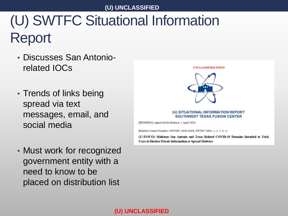## (U) SWTFC Situational Information Report

- Discusses San Antoniorelated IOCs
- Trends of links being spread via text messages, email, and social media
- Must work for recognized government entity with a need to know to be placed on distribution list





#### (U) SITUATIONAL INFORMATION REPORT **SOUTHWEST TEXAS FUSION CENTER**

[PENDING] Approved for Release: 1 April 2020

Bulletin Control Number: #SWTFC-2020-XXX, SWTFC SINs: 1, 2, 7, 8, 11

(U//FOUO) Malicious San Antonio and Texas Related COVID-19 Domains Intended to Trick **Users to Disclose Private Information or Spread Malware**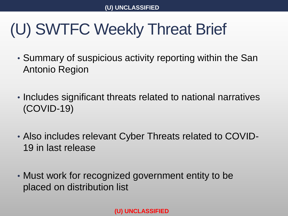# (U) SWTFC Weekly Threat Brief

- Summary of suspicious activity reporting within the San Antonio Region
- Includes significant threats related to national narratives (COVID-19)
- Also includes relevant Cyber Threats related to COVID-19 in last release
- Must work for recognized government entity to be placed on distribution list